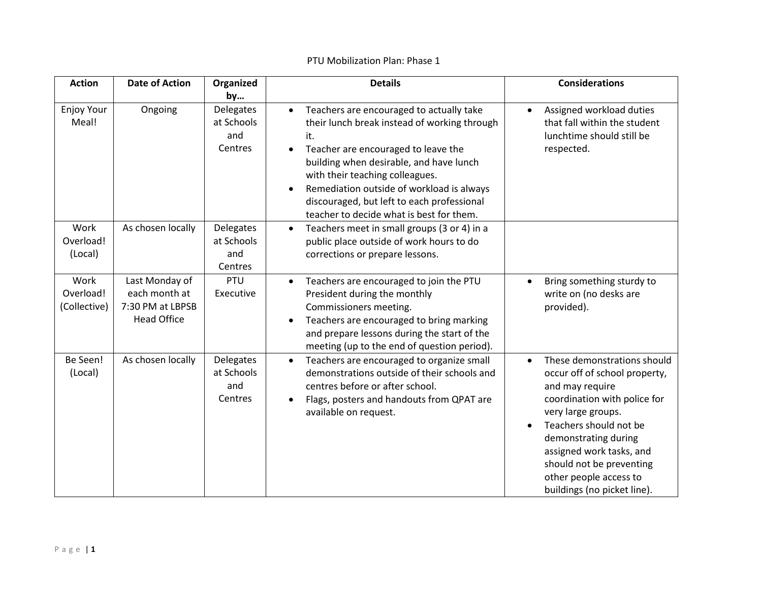| <b>Action</b>                     | <b>Date of Action</b>                                                     | Organized<br>by                           | <b>Details</b>                                                                                                                                                                                                                                                                                                                                                                                     | <b>Considerations</b>                                                                                                                                                                                                                                                                                    |
|-----------------------------------|---------------------------------------------------------------------------|-------------------------------------------|----------------------------------------------------------------------------------------------------------------------------------------------------------------------------------------------------------------------------------------------------------------------------------------------------------------------------------------------------------------------------------------------------|----------------------------------------------------------------------------------------------------------------------------------------------------------------------------------------------------------------------------------------------------------------------------------------------------------|
| <b>Enjoy Your</b><br>Meal!        | Ongoing                                                                   | Delegates<br>at Schools<br>and<br>Centres | Teachers are encouraged to actually take<br>$\bullet$<br>their lunch break instead of working through<br>it.<br>Teacher are encouraged to leave the<br>$\bullet$<br>building when desirable, and have lunch<br>with their teaching colleagues.<br>Remediation outside of workload is always<br>$\bullet$<br>discouraged, but left to each professional<br>teacher to decide what is best for them. | Assigned workload duties<br>$\bullet$<br>that fall within the student<br>lunchtime should still be<br>respected.                                                                                                                                                                                         |
| Work<br>Overload!<br>(Local)      | As chosen locally                                                         | Delegates<br>at Schools<br>and<br>Centres | Teachers meet in small groups (3 or 4) in a<br>$\bullet$<br>public place outside of work hours to do<br>corrections or prepare lessons.                                                                                                                                                                                                                                                            |                                                                                                                                                                                                                                                                                                          |
| Work<br>Overload!<br>(Collective) | Last Monday of<br>each month at<br>7:30 PM at LBPSB<br><b>Head Office</b> | PTU<br>Executive                          | Teachers are encouraged to join the PTU<br>$\bullet$<br>President during the monthly<br>Commissioners meeting.<br>Teachers are encouraged to bring marking<br>$\bullet$<br>and prepare lessons during the start of the<br>meeting (up to the end of question period).                                                                                                                              | Bring something sturdy to<br>write on (no desks are<br>provided).                                                                                                                                                                                                                                        |
| Be Seen!<br>(Local)               | As chosen locally                                                         | Delegates<br>at Schools<br>and<br>Centres | Teachers are encouraged to organize small<br>$\bullet$<br>demonstrations outside of their schools and<br>centres before or after school.<br>Flags, posters and handouts from QPAT are<br>available on request.                                                                                                                                                                                     | These demonstrations should<br>occur off of school property,<br>and may require<br>coordination with police for<br>very large groups.<br>Teachers should not be<br>demonstrating during<br>assigned work tasks, and<br>should not be preventing<br>other people access to<br>buildings (no picket line). |

## PTU Mobilization Plan: Phase 1